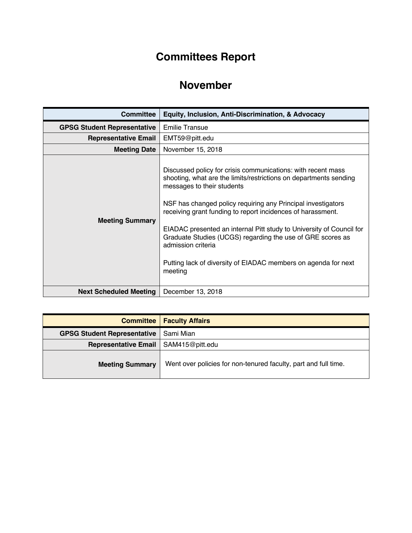## **Committees Report**

## **November**

| <b>Committee</b>                   | Equity, Inclusion, Anti-Discrimination, & Advocacy                                                                                                                                                                                                                                                                                                                                                                                                                                                                                      |
|------------------------------------|-----------------------------------------------------------------------------------------------------------------------------------------------------------------------------------------------------------------------------------------------------------------------------------------------------------------------------------------------------------------------------------------------------------------------------------------------------------------------------------------------------------------------------------------|
| <b>GPSG Student Representative</b> | <b>Emilie Transue</b>                                                                                                                                                                                                                                                                                                                                                                                                                                                                                                                   |
| <b>Representative Email</b>        | EMT59@pitt.edu                                                                                                                                                                                                                                                                                                                                                                                                                                                                                                                          |
| <b>Meeting Date</b>                | November 15, 2018                                                                                                                                                                                                                                                                                                                                                                                                                                                                                                                       |
| <b>Meeting Summary</b>             | Discussed policy for crisis communications: with recent mass<br>shooting, what are the limits/restrictions on departments sending<br>messages to their students<br>NSF has changed policy requiring any Principal investigators<br>receiving grant funding to report incidences of harassment.<br>EIADAC presented an internal Pitt study to University of Council for<br>Graduate Studies (UCGS) regarding the use of GRE scores as<br>admission criteria<br>Putting lack of diversity of EIADAC members on agenda for next<br>meeting |
| <b>Next Scheduled Meeting</b>      | December 13, 2018                                                                                                                                                                                                                                                                                                                                                                                                                                                                                                                       |

|                                        | <b>Committee   Faculty Affairs</b>                              |
|----------------------------------------|-----------------------------------------------------------------|
| <b>GPSG Student Representative</b>     | Sami Mian                                                       |
| Representative Email   SAM415@pitt.edu |                                                                 |
| <b>Meeting Summary</b>                 | Went over policies for non-tenured faculty, part and full time. |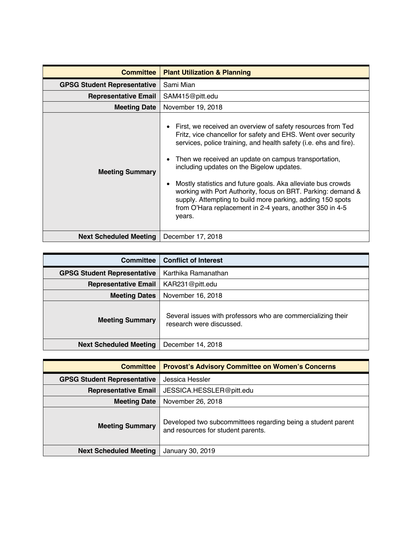| <b>Committee</b>                   | <b>Plant Utilization &amp; Planning</b>                                                                                                                                                                                                                                                                                                                                                                                                                                                                                                                                                      |
|------------------------------------|----------------------------------------------------------------------------------------------------------------------------------------------------------------------------------------------------------------------------------------------------------------------------------------------------------------------------------------------------------------------------------------------------------------------------------------------------------------------------------------------------------------------------------------------------------------------------------------------|
| <b>GPSG Student Representative</b> | Sami Mian                                                                                                                                                                                                                                                                                                                                                                                                                                                                                                                                                                                    |
| <b>Representative Email</b>        | SAM415@pitt.edu                                                                                                                                                                                                                                                                                                                                                                                                                                                                                                                                                                              |
| <b>Meeting Date</b>                | November 19, 2018                                                                                                                                                                                                                                                                                                                                                                                                                                                                                                                                                                            |
| <b>Meeting Summary</b>             | First, we received an overview of safety resources from Ted<br>٠<br>Fritz, vice chancellor for safety and EHS. Went over security<br>services, police training, and health safety (i.e. ehs and fire).<br>Then we received an update on campus transportation,<br>$\bullet$<br>including updates on the Bigelow updates.<br>Mostly statistics and future goals. Aka alleviate bus crowds<br>working with Port Authority, focus on BRT. Parking: demand &<br>supply. Attempting to build more parking, adding 150 spots<br>from O'Hara replacement in 2-4 years, another 350 in 4-5<br>years. |
| <b>Next Scheduled Meeting</b>      | December 17, 2018                                                                                                                                                                                                                                                                                                                                                                                                                                                                                                                                                                            |

| <b>Committee</b>                   | <b>Conflict of Interest</b>                                                              |
|------------------------------------|------------------------------------------------------------------------------------------|
| <b>GPSG Student Representative</b> | Karthika Ramanathan                                                                      |
| <b>Representative Email</b>        | KAR231@pitt.edu                                                                          |
| <b>Meeting Dates</b>               | November 16, 2018                                                                        |
| <b>Meeting Summary</b>             | Several issues with professors who are commercializing their<br>research were discussed. |
| <b>Next Scheduled Meeting</b>      | December 14, 2018                                                                        |

| <b>Committee</b>                   | <b>Provost's Advisory Committee on Women's Concerns</b>                                            |
|------------------------------------|----------------------------------------------------------------------------------------------------|
| <b>GPSG Student Representative</b> | Jessica Hessler                                                                                    |
| <b>Representative Email</b>        | JESSICA.HESSLER@pitt.edu                                                                           |
| <b>Meeting Date</b>                | November 26, 2018                                                                                  |
| <b>Meeting Summary</b>             | Developed two subcommittees regarding being a student parent<br>and resources for student parents. |
| <b>Next Scheduled Meeting</b>      | January 30, 2019                                                                                   |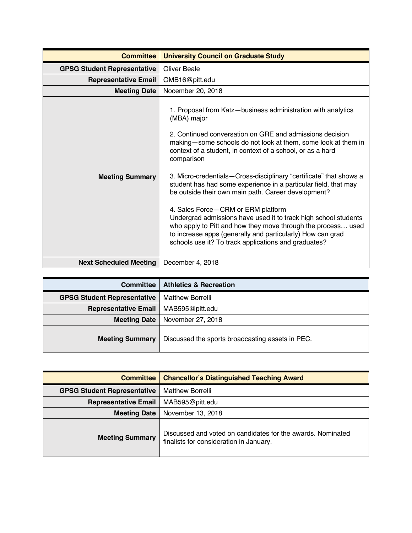| <b>Committee</b>                   | <b>University Council on Graduate Study</b>                                                                                                                                                                                                                                                                                                                                                                                                                                                                                                                                                                                                                                                                                                                                         |
|------------------------------------|-------------------------------------------------------------------------------------------------------------------------------------------------------------------------------------------------------------------------------------------------------------------------------------------------------------------------------------------------------------------------------------------------------------------------------------------------------------------------------------------------------------------------------------------------------------------------------------------------------------------------------------------------------------------------------------------------------------------------------------------------------------------------------------|
| <b>GPSG Student Representative</b> | <b>Oliver Beale</b>                                                                                                                                                                                                                                                                                                                                                                                                                                                                                                                                                                                                                                                                                                                                                                 |
| <b>Representative Email</b>        | OMB16@pitt.edu                                                                                                                                                                                                                                                                                                                                                                                                                                                                                                                                                                                                                                                                                                                                                                      |
| <b>Meeting Date</b>                | Nocember 20, 2018                                                                                                                                                                                                                                                                                                                                                                                                                                                                                                                                                                                                                                                                                                                                                                   |
| <b>Meeting Summary</b>             | 1. Proposal from Katz-business administration with analytics<br>(MBA) major<br>2. Continued conversation on GRE and admissions decision<br>making-some schools do not look at them, some look at them in<br>context of a student, in context of a school, or as a hard<br>comparison<br>3. Micro-credentials-Cross-disciplinary "certificate" that shows a<br>student has had some experience in a particular field, that may<br>be outside their own main path. Career development?<br>4. Sales Force-CRM or ERM platform<br>Undergrad admissions have used it to track high school students<br>who apply to Pitt and how they move through the process used<br>to increase apps (generally and particularly) How can grad<br>schools use it? To track applications and graduates? |
| <b>Next Scheduled Meeting</b>      | December 4, 2018                                                                                                                                                                                                                                                                                                                                                                                                                                                                                                                                                                                                                                                                                                                                                                    |

| <b>Committee</b>                   | <b>Athletics &amp; Recreation</b>                |
|------------------------------------|--------------------------------------------------|
| <b>GPSG Student Representative</b> | <b>Matthew Borrelli</b>                          |
| <b>Representative Email</b>        | MAB595@pitt.edu                                  |
| <b>Meeting Date</b>                | November 27, 2018                                |
| <b>Meeting Summary</b>             | Discussed the sports broadcasting assets in PEC. |

| <b>Committee</b>                   | <b>Chancellor's Distinguished Teaching Award</b>                                                       |
|------------------------------------|--------------------------------------------------------------------------------------------------------|
| <b>GPSG Student Representative</b> | <b>Matthew Borrelli</b>                                                                                |
| <b>Representative Email</b>        | MAB595@pitt.edu                                                                                        |
| <b>Meeting Date</b>                | November 13, 2018                                                                                      |
| <b>Meeting Summary</b>             | Discussed and voted on candidates for the awards. Nominated<br>finalists for consideration in January. |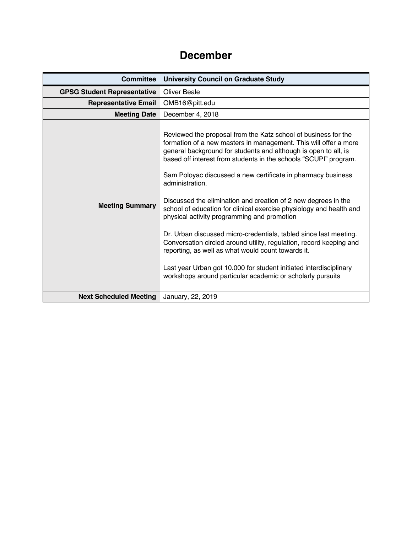## **December**

| <b>Committee</b>                   | <b>University Council on Graduate Study</b>                                                                                                                                                                                                                                                                                                                                                                                                                                                                                                                                                                                                                                                                                                                                                                                                                                                |
|------------------------------------|--------------------------------------------------------------------------------------------------------------------------------------------------------------------------------------------------------------------------------------------------------------------------------------------------------------------------------------------------------------------------------------------------------------------------------------------------------------------------------------------------------------------------------------------------------------------------------------------------------------------------------------------------------------------------------------------------------------------------------------------------------------------------------------------------------------------------------------------------------------------------------------------|
| <b>GPSG Student Representative</b> | <b>Oliver Beale</b>                                                                                                                                                                                                                                                                                                                                                                                                                                                                                                                                                                                                                                                                                                                                                                                                                                                                        |
| <b>Representative Email</b>        | OMB16@pitt.edu                                                                                                                                                                                                                                                                                                                                                                                                                                                                                                                                                                                                                                                                                                                                                                                                                                                                             |
| <b>Meeting Date</b>                | December 4, 2018                                                                                                                                                                                                                                                                                                                                                                                                                                                                                                                                                                                                                                                                                                                                                                                                                                                                           |
| <b>Meeting Summary</b>             | Reviewed the proposal from the Katz school of business for the<br>formation of a new masters in management. This will offer a more<br>general background for students and although is open to all, is<br>based off interest from students in the schools "SCUPI" program.<br>Sam Poloyac discussed a new certificate in pharmacy business<br>administration.<br>Discussed the elimination and creation of 2 new degrees in the<br>school of education for clinical exercise physiology and health and<br>physical activity programming and promotion<br>Dr. Urban discussed micro-credentials, tabled since last meeting.<br>Conversation circled around utility, regulation, record keeping and<br>reporting, as well as what would count towards it.<br>Last year Urban got 10.000 for student initiated interdisciplinary<br>workshops around particular academic or scholarly pursuits |
| <b>Next Scheduled Meeting</b>      | January, 22, 2019                                                                                                                                                                                                                                                                                                                                                                                                                                                                                                                                                                                                                                                                                                                                                                                                                                                                          |